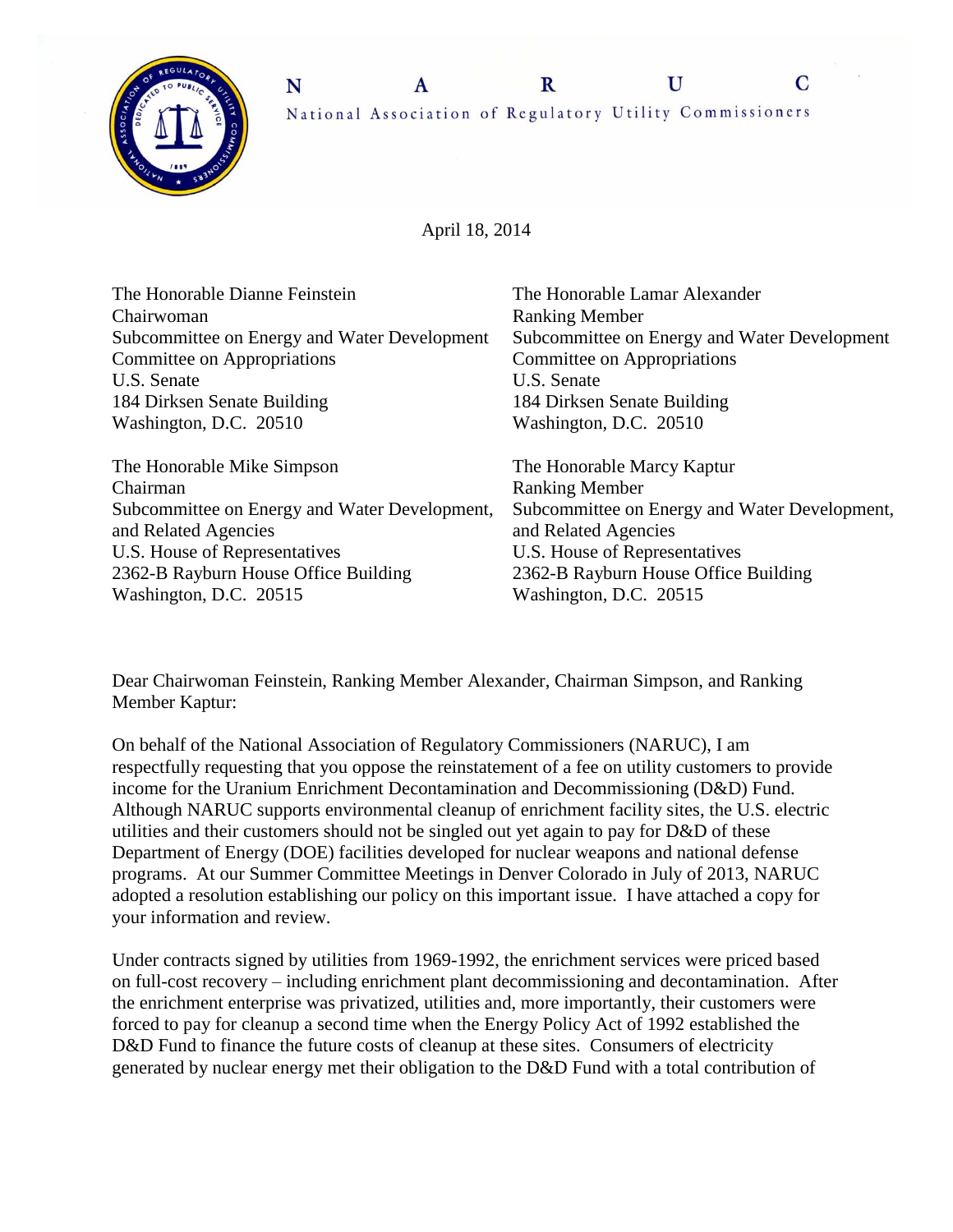

 $\overline{C}$ 

April 18, 2014

| The Honorable Dianne Feinstein                | The Honorable Lamar Alexander                 |
|-----------------------------------------------|-----------------------------------------------|
| Chairwoman                                    | <b>Ranking Member</b>                         |
| Subcommittee on Energy and Water Development  | Subcommittee on Energy and Water Development  |
| Committee on Appropriations                   | Committee on Appropriations                   |
| U.S. Senate                                   | U.S. Senate                                   |
| 184 Dirksen Senate Building                   | 184 Dirksen Senate Building                   |
| Washington, D.C. 20510                        | Washington, D.C. 20510                        |
| The Honorable Mike Simpson                    | The Honorable Marcy Kaptur                    |
| Chairman                                      | <b>Ranking Member</b>                         |
| Subcommittee on Energy and Water Development, | Subcommittee on Energy and Water Development, |
| and Related Agencies                          | and Related Agencies                          |
| U.S. House of Representatives                 | U.S. House of Representatives                 |
| 2362-B Rayburn House Office Building          | 2362-B Rayburn House Office Building          |
| Washington, D.C. 20515                        |                                               |

Dear Chairwoman Feinstein, Ranking Member Alexander, Chairman Simpson, and Ranking Member Kaptur:

On behalf of the National Association of Regulatory Commissioners (NARUC), I am respectfully requesting that you oppose the reinstatement of a fee on utility customers to provide income for the Uranium Enrichment Decontamination and Decommissioning (D&D) Fund. Although NARUC supports environmental cleanup of enrichment facility sites, the U.S. electric utilities and their customers should not be singled out yet again to pay for D&D of these Department of Energy (DOE) facilities developed for nuclear weapons and national defense programs. At our Summer Committee Meetings in Denver Colorado in July of 2013, NARUC adopted a resolution establishing our policy on this important issue. I have attached a copy for your information and review.

Under contracts signed by utilities from 1969-1992, the enrichment services were priced based on full-cost recovery – including enrichment plant decommissioning and decontamination. After the enrichment enterprise was privatized, utilities and, more importantly, their customers were forced to pay for cleanup a second time when the Energy Policy Act of 1992 established the D&D Fund to finance the future costs of cleanup at these sites. Consumers of electricity generated by nuclear energy met their obligation to the D&D Fund with a total contribution of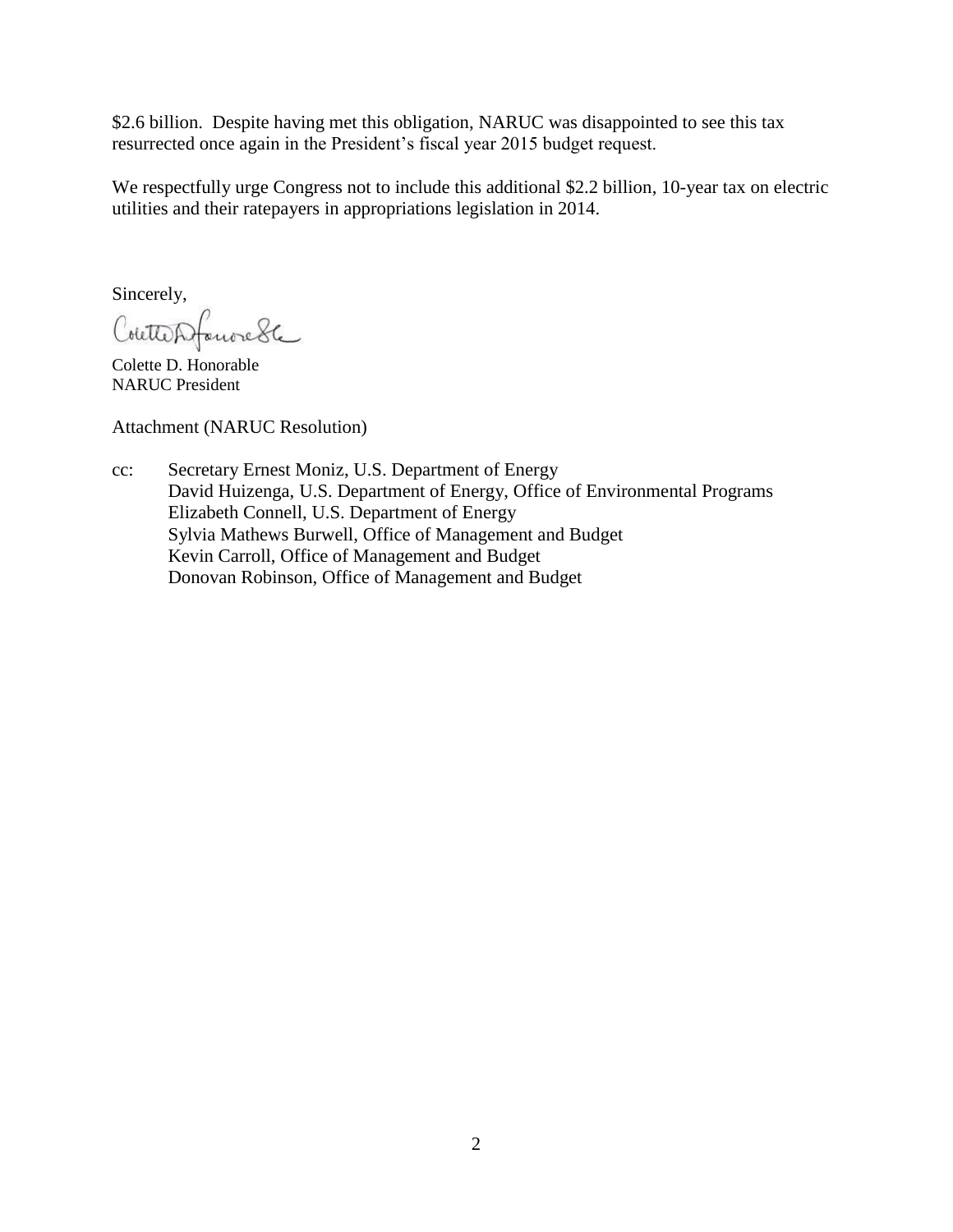\$2.6 billion. Despite having met this obligation, NARUC was disappointed to see this tax resurrected once again in the President's fiscal year 2015 budget request.

We respectfully urge Congress not to include this additional \$2.2 billion, 10-year tax on electric utilities and their ratepayers in appropriations legislation in 2014.

Sincerely,

CoutterSfanoredte

Colette D. Honorable NARUC President

Attachment (NARUC Resolution)

cc: Secretary Ernest Moniz, U.S. Department of Energy David Huizenga, U.S. Department of Energy, Office of Environmental Programs Elizabeth Connell, U.S. Department of Energy Sylvia Mathews Burwell, Office of Management and Budget Kevin Carroll, Office of Management and Budget Donovan Robinson, Office of Management and Budget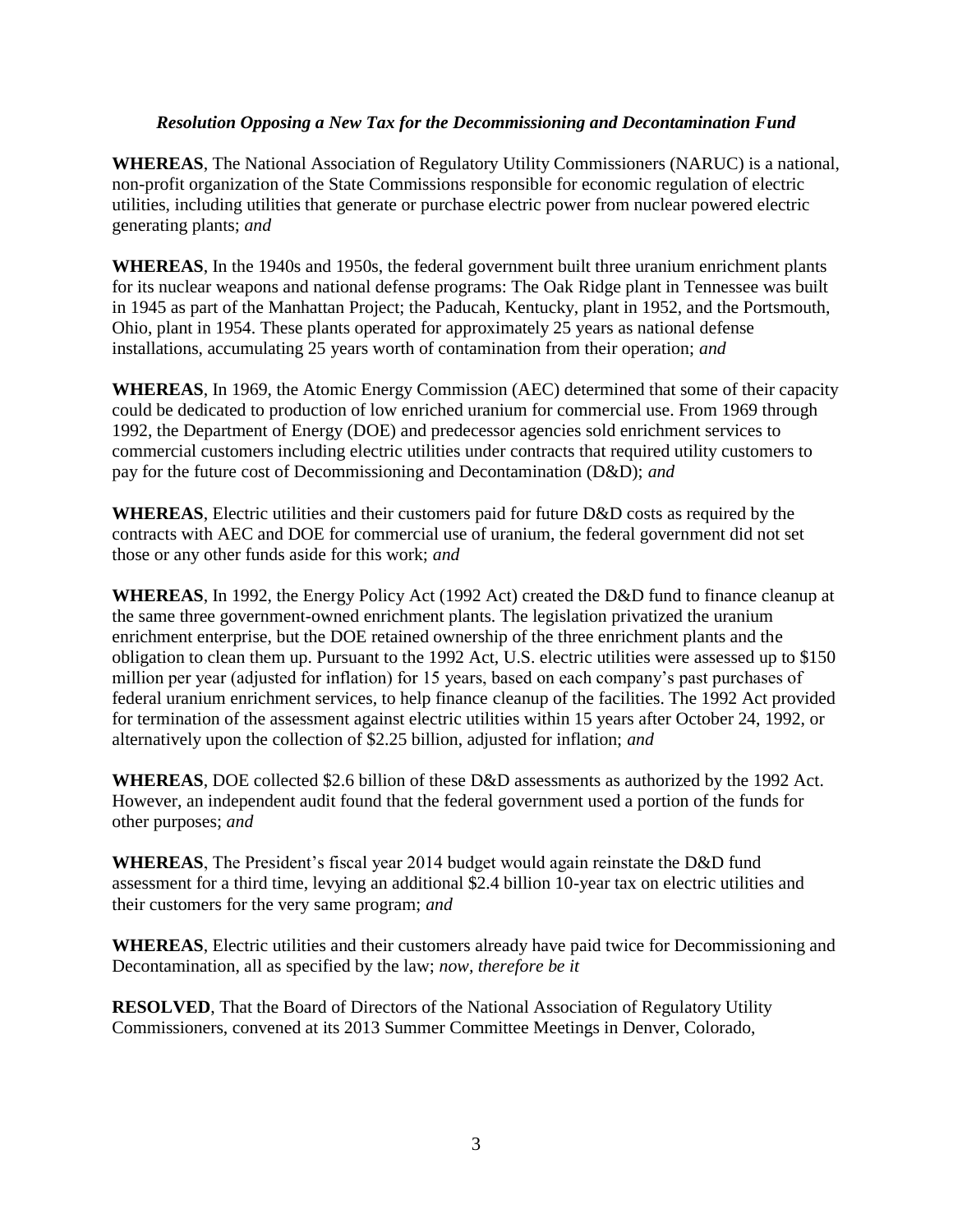## *Resolution Opposing a New Tax for the Decommissioning and Decontamination Fund*

**WHEREAS**, The National Association of Regulatory Utility Commissioners (NARUC) is a national, non-profit organization of the State Commissions responsible for economic regulation of electric utilities, including utilities that generate or purchase electric power from nuclear powered electric generating plants; *and* 

**WHEREAS**, In the 1940s and 1950s, the federal government built three uranium enrichment plants for its nuclear weapons and national defense programs: The Oak Ridge plant in Tennessee was built in 1945 as part of the Manhattan Project; the Paducah, Kentucky, plant in 1952, and the Portsmouth, Ohio, plant in 1954. These plants operated for approximately 25 years as national defense installations, accumulating 25 years worth of contamination from their operation; *and* 

**WHEREAS**, In 1969, the Atomic Energy Commission (AEC) determined that some of their capacity could be dedicated to production of low enriched uranium for commercial use. From 1969 through 1992, the Department of Energy (DOE) and predecessor agencies sold enrichment services to commercial customers including electric utilities under contracts that required utility customers to pay for the future cost of Decommissioning and Decontamination (D&D); *and* 

**WHEREAS**, Electric utilities and their customers paid for future D&D costs as required by the contracts with AEC and DOE for commercial use of uranium, the federal government did not set those or any other funds aside for this work; *and* 

**WHEREAS**, In 1992, the Energy Policy Act (1992 Act) created the D&D fund to finance cleanup at the same three government-owned enrichment plants. The legislation privatized the uranium enrichment enterprise, but the DOE retained ownership of the three enrichment plants and the obligation to clean them up. Pursuant to the 1992 Act, U.S. electric utilities were assessed up to \$150 million per year (adjusted for inflation) for 15 years, based on each company's past purchases of federal uranium enrichment services, to help finance cleanup of the facilities. The 1992 Act provided for termination of the assessment against electric utilities within 15 years after October 24, 1992, or alternatively upon the collection of \$2.25 billion, adjusted for inflation; *and* 

**WHEREAS**, DOE collected \$2.6 billion of these D&D assessments as authorized by the 1992 Act. However, an independent audit found that the federal government used a portion of the funds for other purposes; *and* 

**WHEREAS**, The President's fiscal year 2014 budget would again reinstate the D&D fund assessment for a third time, levying an additional \$2.4 billion 10-year tax on electric utilities and their customers for the very same program; *and* 

**WHEREAS**, Electric utilities and their customers already have paid twice for Decommissioning and Decontamination, all as specified by the law; *now, therefore be it* 

**RESOLVED**, That the Board of Directors of the National Association of Regulatory Utility Commissioners, convened at its 2013 Summer Committee Meetings in Denver, Colorado,